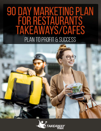# **90 DAY MARKETING PLAN<br>FOR RESTAURANTS<br>TAKEAWAYS/CAFES** PLAN TO PROFIT & SUCCESS



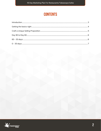## **CONTENTS**

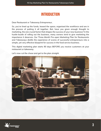#### **Introduction**

<span id="page-2-0"></span>Dear Restaurant or Takeaway Entrepreneur,

So, you've lined up the funds, leased the space, organised the workforce and are in the process of putting it all together. But, have you given enough thought to marketing, the one crucial factor that shapes the success of your new business? In the hustle-bustle of rolling out the business, many owners tend to give marketing the importance it deserves. Our Three-Month Pre-open Marketing Plan for Restaurants and Takeaways distills the experience of scores of successful entrepreneurs into a simple, yet very effective blueprint for success in the food service business.

This digital marketing plan starts 90 days BEFORE you receive customers at your restaurant or takeaway.



Let's now cut the chase and get to the plan straight.

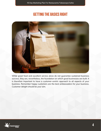### **GETTING THE BASICS RIGHT**

<span id="page-3-0"></span>

While great food and excellent service alone do not guarantee sustained business success, they are, nevertheless, the foundation on which good businesses are built. It is therefore important to have a customer-centric approach to all aspects of your business. Remember happy customers are the best ambassadors for your business. Customer delight should be your aim.

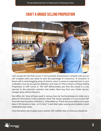#### **CRAFT A UNIQUE SELLING PROPOSITION**

<span id="page-4-0"></span>

Let's accept the fact that scores, if not hundreds of businesses compete with you (or will compete when you start) to earn the patronage of consumers. A consumer is faced with a mind-boggling array of choices when it comes to ordering food. In such a situation, how do you get her attention and retain it? This is where a Unique Selling Proposition or USP comes in. The USP differentiates you from the crowd in a way relevant to the potential customer and makes them buy from you. Faster service, cheaper price, distinct flavours,

free offers etc. have all been used in various hues by food businesses to stake out a place for themselves in the customer mind. The classic example of a successful USP from the food business is Domino's'. Articulated as "Fresh hot pizza delivered to your door in 30 minutes or less… or it's free," it sent their sales soaring and created a much celebrated case study.

Once the basics are in place and a winner USP crafted, here is what you should do:

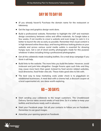#### **Day90to Day60**

- <span id="page-5-0"></span>● (If you already haven't) Purchase the domain name for the restaurant or takeaway
- Get the logo and graphics design work done.
- Build a professional website. Remember to highlight the USP and maintain design consistency between online and offline materials. As Google takes a few weeks, if not months to crawl a website and even longer to rank it, it is better to launch the site as early as possible. Remember that visual content is in high demand online these days, and having delicious looking photos on your website and across various social media outlets is essential for drawing hungry eyes. Get a set of drool-worthy photographs made for this purpose whatever it takes including hiring a professional photographer.
- Get all the collaterals made including leaflets. Do a mail drop campaign if you think it will help.
- Build links to the website. The more links you build the better. However, avoid irrelevant and junk links altogether. Google frowns upon such links and they may cause more harm than good. Instead try food service related websites, local directories, food finder sites etc. These make good sites to link with.
- The best way to keep marketing costs under check is to piggyback on established businesses. A meal deal with a cinema hall, a discount coupon at a local supermarket etc. are ideas worth exploring.

#### **60 – 30 days:**

- <span id="page-5-1"></span>Start sending your collaterals to the target customers. The Unaddressed Delivery Service takes several weeks of lead time. So it is better to keep your leaflets and brochures ready well in advance.
- Start your Facebook page. Get all your contacts to follow you on Facebook. Remember to use good images.
- Advertise your opening special on Facebook.